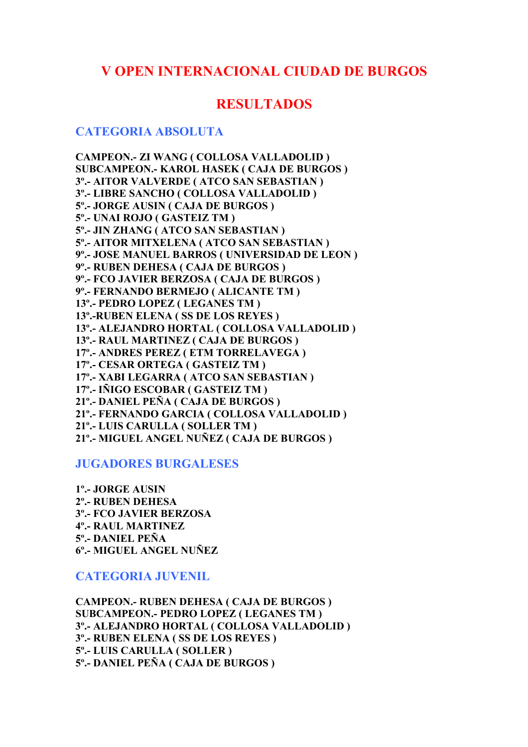# **V OPEN INTERNACIONAL CIUDAD DE BURGOS**

# **RESULTADOS**

## **CATEGORIA ABSOLUTA**

**CAMPEON.- ZI WANG ( COLLOSA VALLADOLID ) SUBCAMPEON.- KAROL HASEK ( CAJA DE BURGOS ) 3º.- AITOR VALVERDE ( ATCO SAN SEBASTIAN ) 3º.- LIBRE SANCHO ( COLLOSA VALLADOLID ) 5º.- JORGE AUSIN ( CAJA DE BURGOS ) 5º.- UNAI ROJO ( GASTEIZ TM ) 5º.- JIN ZHANG ( ATCO SAN SEBASTIAN ) 5º.- AITOR MITXELENA ( ATCO SAN SEBASTIAN ) 9º.- JOSE MANUEL BARROS ( UNIVERSIDAD DE LEON ) 9º.- RUBEN DEHESA ( CAJA DE BURGOS ) 9º.- FCO JAVIER BERZOSA ( CAJA DE BURGOS ) 9º.- FERNANDO BERMEJO ( ALICANTE TM ) 13º.- PEDRO LOPEZ ( LEGANES TM ) 13º.-RUBEN ELENA ( SS DE LOS REYES ) 13º.- ALEJANDRO HORTAL ( COLLOSA VALLADOLID ) 13º.- RAUL MARTINEZ ( CAJA DE BURGOS ) 17º.- ANDRES PEREZ ( ETM TORRELAVEGA ) 17º.- CESAR ORTEGA ( GASTEIZ TM ) 17º.- XABI LEGARRA ( ATCO SAN SEBASTIAN ) 17º.- IÑIGO ESCOBAR ( GASTEIZ TM ) 21º.- DANIEL PEÑA ( CAJA DE BURGOS ) 21º.- FERNANDO GARCIA ( COLLOSA VALLADOLID ) 21º.- LUIS CARULLA ( SOLLER TM ) 21º.- MIGUEL ANGEL NUÑEZ ( CAJA DE BURGOS )** 

### **JUGADORES BURGALESES**

**1º.- JORGE AUSIN 2º.- RUBEN DEHESA 3º.- FCO JAVIER BERZOSA 4º.- RAUL MARTINEZ 5º.- DANIEL PEÑA 6º.- MIGUEL ANGEL NUÑEZ** 

**CATEGORIA JUVENIL** 

**CAMPEON.- RUBEN DEHESA ( CAJA DE BURGOS ) SUBCAMPEON.- PEDRO LOPEZ ( LEGANES TM ) 3º.- ALEJANDRO HORTAL ( COLLOSA VALLADOLID ) 3º.- RUBEN ELENA ( SS DE LOS REYES ) 5º.- LUIS CARULLA ( SOLLER ) 5º.- DANIEL PEÑA ( CAJA DE BURGOS )**